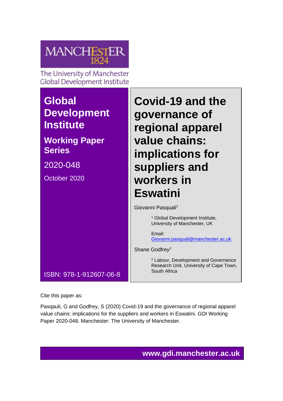

Cite this paper as:

Pasqauli, G and Godfrey, S (2020) Covid-19 and the governance of regional apparel value chains: implications for the suppliers and workers in Eswatini. GDI Working Paper 2020-048. Manchester: The University of Manchester.

**www.gdi.manchester.ac.uk**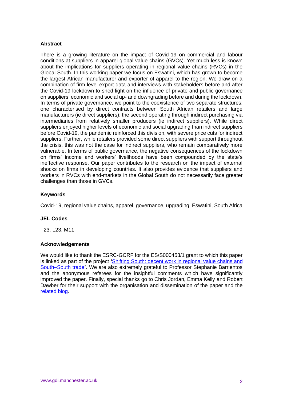#### **Abstract**

There is a growing literature on the impact of Covid-19 on commercial and labour conditions at suppliers in apparel global value chains (GVCs). Yet much less is known about the implications for suppliers operating in regional value chains (RVCs) in the Global South. In this working paper we focus on Eswatini, which has grown to become the largest African manufacturer and exporter of apparel to the region. We draw on a combination of firm-level export data and interviews with stakeholders before and after the Covid-19 lockdown to shed light on the influence of private and public governance on suppliers' economic and social up- and downgrading before and during the lockdown. In terms of private governance, we point to the coexistence of two separate structures: one characterised by direct contracts between South African retailers and large manufacturers (ie direct suppliers); the second operating through indirect purchasing via intermediaries from relatively smaller producers (ie indirect suppliers). While direct suppliers enjoyed higher levels of economic and social upgrading than indirect suppliers before Covid-19, the pandemic reinforced this division, with severe price cuts for indirect suppliers. Further, while retailers provided some direct suppliers with support throughout the crisis, this was not the case for indirect suppliers, who remain comparatively more vulnerable. In terms of public governance, the negative consequences of the lockdown on firms' income and workers' livelihoods have been compounded by the state's ineffective response. Our paper contributes to the research on the impact of external shocks on firms in developing countries. It also provides evidence that suppliers and workers in RVCs with end-markets in the Global South do not necessarily face greater challenges than those in GVCs.

### **Keywords**

Covid-19, regional value chains, apparel, governance, upgrading, Eswatini, South Africa

#### **JEL Codes**

F23, L23, M11

#### **Acknowledgements**

We would like to thank the ESRC-GCRF for the ES/S000453/1 grant to which this paper is linked as part of the project **'**Shifting South: decent work in [regional](https://www.gdi.manchester.ac.uk/research/groups/gpn-trade-labour/shifting-south/) value chains and [South–South](https://www.gdi.manchester.ac.uk/research/groups/gpn-trade-labour/shifting-south/) trade**'**. We are also extremely grateful to Professor Stephanie Barrientos and the anonymous referees for the insightful comments which have significantly improved the paper. Finally, special thanks go to Chris Jordan, Emma Kelly and Robert Dawber for their support with the organisation and dissemination of the paper and the [related blog.](http://blog.gdi.manchester.ac.uk/are-south-south-value-chains-more-resilient-in-the-age-of-covid-19-insights-from-eswatinis-apparel/)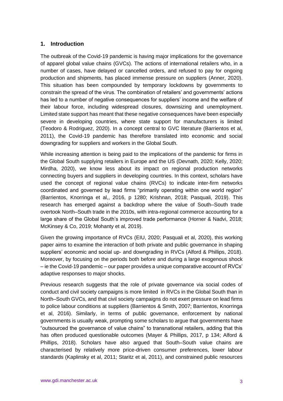### **1. Introduction**

The outbreak of the Covid-19 pandemic is having major implications for the governance of apparel global value chains (GVCs). The actions of international retailers who, in a number of cases, have delayed or cancelled orders, and refused to pay for ongoing production and shipments, has placed immense pressure on suppliers (Anner, 2020). This situation has been compounded by temporary lockdowns by governments to constrain the spread of the virus. The combination of retailers' and governments' actions has led to a number of negative consequences for suppliers' income and the welfare of their labour force, including widespread closures, downsizing and unemployment. Limited state support has meant that these negative consequences have been especially severe in developing countries, where state support for manufacturers is limited (Teodoro & Rodriguez, 2020). In a concept central to GVC literature (Barrientos et al, 2011), the Covid-19 pandemic has therefore translated into economic and social downgrading for suppliers and workers in the Global South.

While increasing attention is being paid to the implications of the pandemic for firms in the Global South supplying retailers in Europe and the US (Devnath, 2020; Kelly, 2020; Mirdha, 2020), we know less about its impact on regional production networks connecting buyers and suppliers in developing countries. In this context, scholars have used the concept of regional value chains (RVCs) to indicate inter-firm networks coordinated and governed by lead firms "primarily operating within one world region" (Barrientos, Knorringa et al,, 2016, p 1280; Krishnan, 2018; Pasquali, 2019). This research has emerged against a backdrop where the value of South–South trade overtook North–South trade in the 2010s, with intra-regional commerce accounting for a large share of the Global South's improved trade performance (Horner & Nadvi, 2018; McKinsey & Co, 2019; Mohanty et al, 2019).

Given the growing importance of RVCs (EIU, 2020; Pasquali et al, 2020), this working paper aims to examine the interaction of both private and public governance in shaping suppliers' economic and social up- and downgrading in RVCs (Alford & Phillips, 2018). Moreover, by focusing on the periods both before and during a large exogenous shock – ie the Covid-19 pandemic – our paper provides a unique comparative account of RVCs' adaptive responses to major shocks.

Previous research suggests that the role of private governance via social codes of conduct and civil society campaigns is more limited in RVCs in the Global South than in North–South GVCs, and that civil society campaigns do not exert pressure on lead firms to police labour conditions at suppliers (Barrientos & Smith, 2007; Barrientos, Knorringa et al, 2016). Similarly, in terms of public governance, enforcement by national governments is usually weak, prompting some scholars to argue that governments have "outsourced the governance of value chains" to transnational retailers, adding that this has often produced questionable outcomes (Mayer & Phillips, 2017, p 134; Alford & Phillips, 2018). Scholars have also argued that South–South value chains are characterised by relatively more price-driven consumer preferences, lower labour standards (Kaplinsky et al, 2011; Staritz et al, 2011), and constrained public resources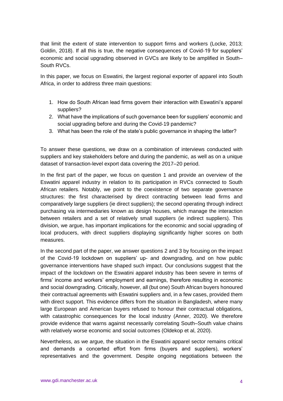that limit the extent of state intervention to support firms and workers (Locke, 2013; Goldin, 2018). If all this is true, the negative consequences of Covid-19 for suppliers' economic and social upgrading observed in GVCs are likely to be amplified in South– South RVCs.

In this paper, we focus on Eswatini, the largest regional exporter of apparel into South Africa, in order to address three main questions:

- 1. How do South African lead firms govern their interaction with Eswatini's apparel suppliers?
- 2. What have the implications of such governance been for suppliers' economic and social upgrading before and during the Covid-19 pandemic?
- 3. What has been the role of the state's public governance in shaping the latter?

To answer these questions, we draw on a combination of interviews conducted with suppliers and key stakeholders before and during the pandemic, as well as on a unique dataset of transaction-level export data covering the 2017–20 period.

In the first part of the paper, we focus on question 1 and provide an overview of the Eswatini apparel industry in relation to its participation in RVCs connected to South African retailers. Notably, we point to the coexistence of two separate governance structures: the first characterised by direct contracting between lead firms and comparatively large suppliers (ie direct suppliers); the second operating through indirect purchasing via intermediaries known as design houses, which manage the interaction between retailers and a set of relatively small suppliers (ie indirect suppliers). This division, we argue, has important implications for the economic and social upgrading of local producers, with direct suppliers displaying significantly higher scores on both measures.

In the second part of the paper, we answer questions 2 and 3 by focusing on the impact of the Covid-19 lockdown on suppliers' up- and downgrading, and on how public governance interventions have shaped such impact. Our conclusions suggest that the impact of the lockdown on the Eswatini apparel industry has been severe in terms of firms' income and workers' employment and earnings, therefore resulting in economic and social downgrading. Critically, however, all (but one) South African buyers honoured their contractual agreements with Eswatini suppliers and, in a few cases, provided them with direct support. This evidence differs from the situation in Bangladesh, where many large European and American buyers refused to honour their contractual obligations, with catastrophic consequences for the local industry (Anner, 2020). We therefore provide evidence that warns against necessarily correlating South–South value chains with relatively worse economic and social outcomes (Oldekop et al, 2020).

Nevertheless, as we argue, the situation in the Eswatini apparel sector remains critical and demands a concerted effort from firms (buyers and suppliers), workers' representatives and the government. Despite ongoing negotiations between the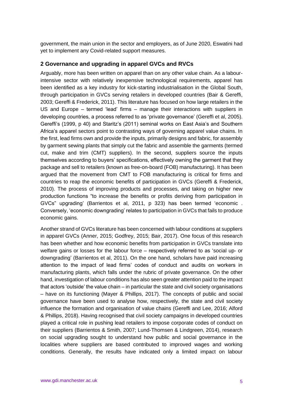government, the main union in the sector and employers, as of June 2020, Eswatini had yet to implement any Covid-related support measures.

### **2 Governance and upgrading in apparel GVCs and RVCs**

Arguably, more has been written on apparel than on any other value chain. As a labourintensive sector with relatively inexpensive technological requirements, apparel has been identified as a key industry for kick-starting industrialisation in the Global South, through participation in GVCs serving retailers in developed countries (Bair & Gereffi, 2003; Gereffi & Frederick, 2011). This literature has focused on how large retailers in the US and Europe – termed 'lead' firms – manage their interactions with suppliers in developing countries, a process referred to as 'private governance' (Gereffi et al, 2005). Gereffi's (1999, p 40) and Staritz's (2011) seminal works on East Asia's and Southern Africa's apparel sectors point to contrasting ways of governing apparel value chains. In the first, lead firms own and provide the inputs, primarily designs and fabric, for assembly by garment sewing plants that simply cut the fabric and assemble the garments (termed cut, make and trim (CMT) suppliers). In the second, suppliers source the inputs themselves according to buyers' specifications, effectively owning the garment that they package and sell to retailers (known as free-on-board (FOB) manufacturing). It has been argued that the movement from CMT to FOB manufacturing is critical for firms and countries to reap the economic benefits of participation in GVCs (Gereffi & Frederick, 2010). The process of improving products and processes, and taking on higher new production functions "to increase the benefits or profits deriving from participation in GVCs" upgrading' (Barrientos et al, 2011, p 323) has been termed 'economic . Conversely, 'economic downgrading' relates to participation in GVCs that fails to produce economic gains.

Another strand of GVCs literature has been concerned with labour conditions at suppliers in apparel GVCs (Anner, 2015; Godfrey, 2015; Bair, 2017). One focus of this research has been whether and how economic benefits from participation in GVCs translate into welfare gains or losses for the labour force – respectively referred to as 'social up- or downgrading' (Barrientos et al, 2011). On the one hand, scholars have paid increasing attention to the impact of lead firms' codes of conduct and audits on workers in manufacturing plants, which falls under the rubric of private governance. On the other hand, investigation of labour conditions has also seen greater attention paid to the impact that actors 'outside' the value chain – in particular the state and civil society organisations – have on its functioning (Mayer & Phillips, 2017). The concepts of public and social governance have been used to analyse how, respectively, the state and civil society influence the formation and organisation of value chains (Gereffi and Lee, 2016; Alford & Phillips, 2018). Having recognised that civil society campaigns in developed countries played a critical role in pushing lead retailers to impose corporate codes of conduct on their suppliers (Barrientos & Smith, 2007; Lund-Thomsen & Lindgreen, 2014), research on social upgrading sought to understand how public and social governance in the localities where suppliers are based contributed to improved wages and working conditions. Generally, the results have indicated only a limited impact on labour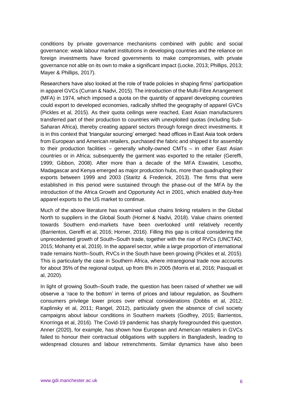conditions by private governance mechanisms combined with public and social governance: weak labour market institutions in developing countries and the reliance on foreign investments have forced governments to make compromises, with private governance not able on its own to make a significant impact (Locke, 2013; Phillips, 2013; Mayer & Phillips, 2017).

Researchers have also looked at the role of trade policies in shaping firms' participation in apparel GVCs (Curran & Nadvi, 2015). The introduction of the Multi-Fibre Arrangement (MFA) in 1974, which imposed a quota on the quantity of apparel developing countries could export to developed economies, radically shifted the geography of apparel GVCs (Pickles et al, 2015). As their quota ceilings were reached, East Asian manufacturers transferred part of their production to countries with unexploited quotas (including Sub-Saharan Africa), thereby creating apparel sectors through foreign direct investments. It is in this context that 'triangular sourcing' emerged: head offices in East Asia took orders from European and American retailers, purchased the fabric and shipped it for assembly to their production facilities – generally wholly-owned CMTs – in other East Asian countries or in Africa; subsequently the garment was exported to the retailer (Gereffi, 1999; Gibbon, 2008). After more than a decade of the MFA Eswatini, Lesotho, Madagascar and Kenya emerged as major production hubs, more than quadrupling their exports between 1999 and 2003 (Staritz & Frederick, 2013). The firms that were established in this period were sustained through the phase-out of the MFA by the introduction of the Africa Growth and Opportunity Act in 2001, which enabled duty-free apparel exports to the US market to continue.

Much of the above literature has examined value chains linking retailers in the Global North to suppliers in the Global South (Horner & Nadvi, 2018). Value chains oriented towards Southern end-markets have been overlooked until relatively recently (Barrientos, Gereffi et al, 2016; Horner, 2016). Filling this gap is critical considering the unprecedented growth of South–South trade, together with the rise of RVCs (UNCTAD, 2015; Mohanty et al, 2019). In the apparel sector, while a large proportion of international trade remains North–South, RVCs in the South have been growing (Pickles et al, 2015). This is particularly the case in Southern Africa, where intraregional trade now accounts for about 35% of the regional output, up from 8% in 2005 (Morris et al, 2016; Pasquali et al, 2020).

In light of growing South–South trade, the question has been raised of whether we will observe a 'race to the bottom' in terms of prices and labour regulation, as Southern consumers privilege lower prices over ethical considerations (Dobbs et al, 2012; Kaplinsky et al, 2011; Rangel, 2012), particularly given the absence of civil society campaigns about labour conditions in Southern markets (Godfrey, 2015; Barrientos, Knorringa et al, 2016). The Covid-19 pandemic has sharply foregrounded this question. Anner (2020), for example, has shown how European and American retailers in GVCs failed to honour their contractual obligations with suppliers in Bangladesh, leading to widespread closures and labour retrenchments. Similar dynamics have also been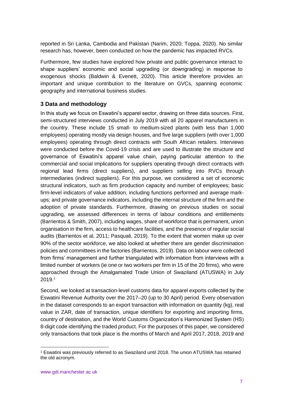reported in Sri Lanka, Cambodia and Pakistan (Narim, 2020; Toppa, 2020). No similar research has, however, been conducted on how the pandemic has impacted RVCs.

Furthermore, few studies have explored how private and public governance interact to shape suppliers' economic and social upgrading (or downgrading) in response to exogenous shocks (Baldwin & Evenett, 2020). This article therefore provides an important and unique contribution to the literature on GVCs, spanning economic geography and international business studies.

# **3 Data and methodology**

In this study we focus on Eswatini's apparel sector, drawing on three data sources. First, semi-structured interviews conducted in July 2019 with all 20 apparel manufacturers in the country. These include 15 small- to medium-sized plants (with less than 1,000 employees) operating mostly via design houses, and five large suppliers (with over 1,000 employees) operating through direct contracts with South African retailers. Interviews were conducted before the Covid-19 crisis and are used to illustrate the structure and governance of Eswatini's apparel value chain, paying particular attention to the commercial and social implications for suppliers operating through direct contracts with regional lead firms (direct suppliers), and suppliers selling into RVCs through intermediaries (indirect suppliers). For this purpose, we considered a set of economic structural indicators, such as firm production capacity and number of employees; basic firm-level indicators of value addition, including functions performed and average markups; and private governance indicators, including the internal structure of the firm and the adoption of private standards. Furthermore, drawing on previous studies on social upgrading, we assessed differences in terms of labour conditions and entitlements (Barrientos & Smith, 2007), including wages, share of workforce that is permanent, union organisation in the firm, access to healthcare facilities, and the presence of regular social audits (Barrientos et al, 2011; Pasquali, 2019). To the extent that women make up over 90% of the sector workforce, we also looked at whether there are gender discrimination policies and committees in the factories (Barrientos, 2019). Data on labour were collected from firms' management and further triangulated with information from interviews with a limited number of workers (ie one or two workers per firm in 15 of the 20 firms), who were approached through the Amalgamated Trade Union of Swaziland (ATUSWA) in July 2019.<sup>1</sup>

Second, we looked at transaction-level customs data for apparel exports collected by the Eswatini Revenue Authority over the 2017–20 (up to 30 April) period. Every observation in the dataset corresponds to an export transaction with information on quantity (kg), real value in ZAR, date of transaction, unique identifiers for exporting and importing firms, country of destination, and the World Customs Organization's Harmonized System (HS) 8-digit code identifying the traded product. For the purposes of this paper, we considered only transactions that took place is the months of March and April 2017, 2018, 2019 and

<sup>1</sup> Eswatini was previously referred to as Swaziland until 2018. The union ATUSWA has retained the old acronym.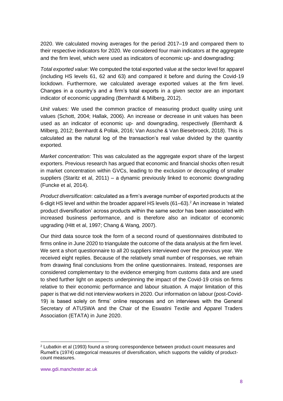2020. We calculated moving averages for the period 2017–19 and compared them to their respective indicators for 2020. We considered four main indicators at the aggregate and the firm level, which were used as indicators of economic up- and downgrading:

*Total exported value*: We computed the total exported value at the sector level for apparel (including HS levels 61, 62 and 63) and compared it before and during the Covid-19 lockdown. Furthermore, we calculated average exported values at the firm level. Changes in a country's and a firm's total exports in a given sector are an important indicator of economic upgrading (Bernhardt & Milberg, 2012).

*Unit values:* We used the common practice of measuring product quality using unit values (Schott, 2004; Hallak, 2006). An increase or decrease in unit values has been used as an indicator of economic up- and downgrading, respectively (Bernhardt & Milberg, 2012; Bernhardt & Pollak, 2016; Van Assche & Van Biesebroeck, 2018). This is calculated as the natural log of the transaction's real value divided by the quantity exported.

*Market concentration:* This was calculated as the aggregate export share of the largest exporters. Previous research has argued that economic and financial shocks often result in market concentration within GVCs, leading to the exclusion or decoupling of smaller suppliers (Staritz et al, 2011) – a dynamic previously linked to economic downgrading (Funcke et al, 2014).

*Product diversification*: calculated as a firm's average number of exported products at the 6-digit HS level and within the broader apparel HS levels (61–63). <sup>2</sup> An increase in 'related product diversification' across products within the same sector has been associated with increased business performance, and is therefore also an indicator of economic upgrading (Hitt et al, 1997; Chang & Wang, 2007).

Our third data source took the form of a second round of questionnaires distributed to firms online in June 2020 to triangulate the outcome of the data analysis at the firm level. We sent a short questionnaire to all 20 suppliers interviewed over the previous year. We received eight replies. Because of the relatively small number of responses, we refrain from drawing final conclusions from the online questionnaires. Instead, responses are considered complementary to the evidence emerging from customs data and are used to shed further light on aspects underpinning the impact of the Covid-19 crisis on firms relative to their economic performance and labour situation. A major limitation of this paper is that we did not interview workers in 2020. Our information on labour (post-Covid-19) is based solely on firms' online responses and on interviews with the General Secretary of ATUSWA and the Chair of the Eswatini Textile and Apparel Traders Association (ETATA) in June 2020.

<sup>2</sup> Lubatkin et al (1993) found a strong correspondence between product-count measures and [Rumelt's](https://books.google.co.uk/books/about/Strategy_Structure_and_Economic_Performa.html?id=f1WqAAAAIAAJ) (1974) categorical measures of diversification, which supports the validity of productcount measures.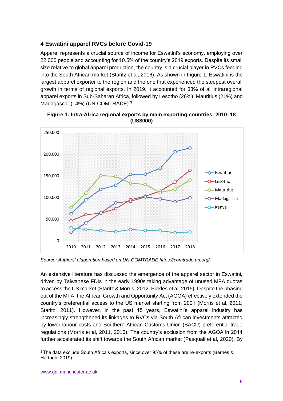# **4 Eswatini apparel RVCs before Covid-19**

Apparel represents a crucial source of income for Eswatini's economy, employing over 22,000 people and accounting for 10.5% of the country's 2019 exports. Despite its small size relative to global apparel production, the country is a crucial player in RVCs feeding into the South African market (Staritz et al, 2016). As shown in Figure 1, Eswatini is the largest apparel exporter to the region and the one that experienced the steepest overall growth in terms of regional exports. In 2019, it accounted for 33% of all intraregional apparel exports in Sub-Saharan Africa, followed by Lesotho (26%), Mauritius (21%) and Madagascar (14%) (UN-COMTRADE).<sup>3</sup>

![](_page_8_Figure_2.jpeg)

**Figure 1: Intra-Africa regional exports by main exporting countries: 2010–18 (US\$000)**

*Source: Authors' elaboration based on UN-COMTRADE https://comtrade.un.org/.*

An extensive literature has discussed the emergence of the apparel sector in Eswatini, driven by Taiwanese FDIs in the early 1990s taking advantage of unused MFA quotas to access the US market (Staritz & Morris, 2012; Pickles et al, 2015). Despite the phasing out of the MFA, the African Growth and Opportunity Act (AGOA) effectively extended the country's preferential access to the US market starting from 2001 (Morris et al, 2011; Staritz, 2011). However, in the past 15 years, Eswatini's apparel industry has increasingly strengthened its linkages to RVCs via South African investments attracted by lower labour costs and Southern African Customs Union (SACU) preferential trade regulations (Morris et al, 2011, 2016). The country's exclusion from the AGOA in 2014 further accelerated its shift towards the South African market (Pasquali et al, 2020). By

 $3$  The data exclude South Africa's exports, since over 95% of these are re-exports (Barnes & Hartogh, 2019).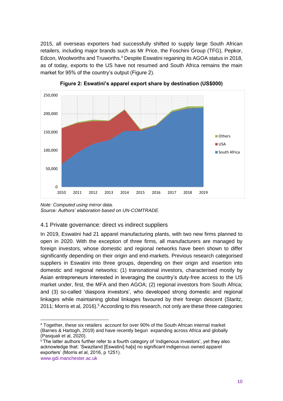2015, all overseas exporters had successfully shifted to supply large South African retailers, including major brands such as Mr Price, the Foschini Group (TFG), Pepkor, Edcon, Woolworths and Truworths.<sup>4</sup> Despite Eswatini regaining its AGOA status in 2018, as of today, exports to the US have not resumed and South Africa remains the main market for 95% of the country's output (Figure 2).

![](_page_9_Figure_1.jpeg)

![](_page_9_Figure_2.jpeg)

*Note: Computed using mirror data. Source: Authors' elaboration based on UN-COMTRADE.*

### 4.1 Private governance: direct vs indirect suppliers

In 2019, Eswatini had 21 apparel manufacturing plants, with two new firms planned to open in 2020. With the exception of three firms, all manufacturers are managed by foreign investors, whose domestic and regional networks have been shown to differ significantly depending on their origin and end-markets. Previous research categorised suppliers in Eswatini into three groups, depending on their origin and insertion into domestic and regional networks: (1) transnational investors, characterised mostly by Asian entrepreneurs interested in leveraging the country's duty-free access to the US market under, first, the MFA and then AGOA; (2) regional investors from South Africa; and (3) so-called 'diaspora investors', who developed strong domestic and regional linkages while maintaining global linkages favoured by their foreign descent (Staritz, 2011; Morris et al, 2016). <sup>5</sup> According to this research, not only are these three categories

<sup>4</sup> Together, these six retailers account for over 90% of the South African internal market (Barnes & Hartogh, 2019) and have recently begun expanding across Africa and globally (Pasquali et al, 2020).

www.gdi.manchester.ac.uk <sup>5</sup> The latter authors further refer to a fourth category of 'indigenous investors', yet they also acknowledge that: 'Swaziland [Eswatini] ha[s] no significant indigenous owned apparel exporters' (Morris et al, 2016, p 1251).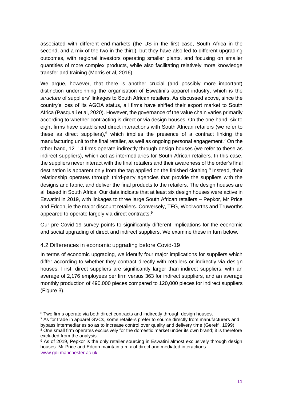associated with different end-markets (the US in the first case, South Africa in the second, and a mix of the two in the third), but they have also led to different upgrading outcomes, with regional investors operating smaller plants, and focusing on smaller quantities of more complex products, while also facilitating relatively more knowledge transfer and training (Morris et al, 2016).

We argue, however, that there is another crucial (and possibly more important) distinction underpinning the organisation of Eswatini's apparel industry, which is the *structure* of suppliers' linkages to South African retailers. As discussed above, since the country's loss of its AGOA status, all firms have shifted their export market to South Africa (Pasquali et al, 2020). However, the governance of the value chain varies primarily according to whether contracting is direct or via design houses. On the one hand, six to eight firms have established direct interactions with South African retailers (we refer to these as direct suppliers),<sup>6</sup> which implies the presence of a contract linking the manufacturing unit to the final retailer, as well as ongoing personal engagement.<sup>7</sup> On the other hand, 12–14 firms operate indirectly through design houses (we refer to these as indirect suppliers), which act as intermediaries for South African retailers. In this case, the suppliers never interact with the final retailers and their awareness of the order's final destination is apparent only from the tag applied on the finished clothing.<sup>8</sup> Instead, their relationship operates through third-party agencies that provide the suppliers with the designs and fabric, and deliver the final products to the retailers. The design houses are all based in South Africa. Our data indicate that at least six design houses were active in Eswatini in 2019, with linkages to three large South African retailers – Pepkor, Mr Price and Edcon, ie the major discount retailers. Conversely, TFG, Woolworths and Truworths appeared to operate largely via direct contracts.<sup>9</sup>

Our pre-Covid-19 survey points to significantly different implications for the economic and social upgrading of direct and indirect suppliers. We examine these in turn below.

# 4.2 Differences in economic upgrading before Covid-19

In terms of economic upgrading, we identify four major implications for suppliers which differ according to whether they contract directly with retailers or indirectly via design houses. First, direct suppliers are significantly larger than indirect suppliers, with an average of 2,176 employees per firm versus 363 for indirect suppliers, and an average monthly production of 490,000 pieces compared to 120,000 pieces for indirect suppliers (Figure 3).

<sup>6</sup> Two firms operate via both direct contracts and indirectly through design houses.

<sup>&</sup>lt;sup>7</sup> As for trade in apparel GVCs, some retailers prefer to source directly from manufacturers and bypass intermediaries so as to increase control over quality and delivery time (Gereffi, 1999). <sup>8</sup> One small firm operates exclusively for the domestic market under its own brand; it is therefore excluded from the analysis.

www.gdi.manchester.ac.uk 9 As of 2019, Pepkor is the only retailer sourcing in Eswatini almost exclusively through design houses. Mr Price and Edcon maintain a mix of direct and mediated interactions.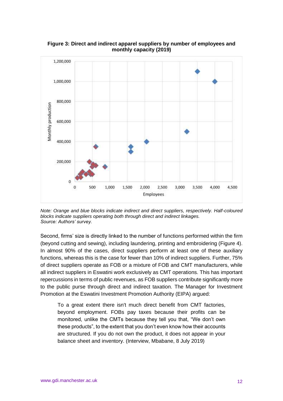![](_page_11_Figure_0.jpeg)

**Figure 3: Direct and indirect apparel suppliers by number of employees and monthly capacity (2019)**

*Note: Orange and blue blocks indicate indirect and direct suppliers, respectively. Half-coloured blocks indicate suppliers operating both through direct and indirect linkages. Source: Authors' survey.*

Second, firms' size is directly linked to the number of functions performed within the firm (beyond cutting and sewing), including laundering, printing and embroidering (Figure 4). In almost 90% of the cases, direct suppliers perform at least one of these auxiliary functions, whereas this is the case for fewer than 10% of indirect suppliers. Further, 75% of direct suppliers operate as FOB or a mixture of FOB and CMT manufacturers, while all indirect suppliers in Eswatini work exclusively as CMT operations. This has important repercussions in terms of public revenues, as FOB suppliers contribute significantly more to the public purse through direct and indirect taxation. The Manager for Investment Promotion at the Eswatini Investment Promotion Authority (EIPA) argued:

To a great extent there isn't much direct benefit from CMT factories, beyond employment. FOBs pay taxes because their profits can be monitored, unlike the CMTs because they tell you that, "We don't own these products", to the extent that you don't even know how their accounts are structured. If you do not own the product, it does not appear in your balance sheet and inventory. (Interview, Mbabane, 8 July 2019)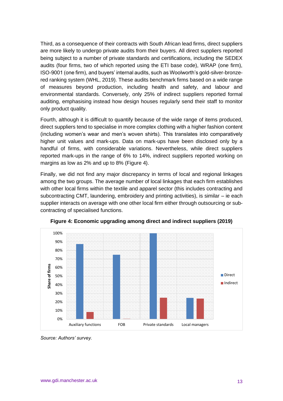Third, as a consequence of their contracts with South African lead firms, direct suppliers are more likely to undergo private audits from their buyers. All direct suppliers reported being subject to a number of private standards and certifications, including the SEDEX audits (four firms, two of which reported using the ETI base code), WRAP (one firm), ISO-9001 (one firm), and buyers' internal audits, such as Woolworth's gold-silver-bronzered ranking system (WHL, 2019). These audits benchmark firms based on a wide range of measures beyond production, including health and safety, and labour and environmental standards. Conversely, only 25% of indirect suppliers reported formal auditing, emphasising instead how design houses regularly send their staff to monitor only product quality.

Fourth, although it is difficult to quantify because of the wide range of items produced, direct suppliers tend to specialise in more complex clothing with a higher fashion content (including women's wear and men's woven shirts). This translates into comparatively higher unit values and mark-ups. Data on mark-ups have been disclosed only by a handful of firms, with considerable variations. Nevertheless, while direct suppliers reported mark-ups in the range of 6% to 14%, indirect suppliers reported working on margins as low as 2% and up to 8% (Figure 4).

Finally, we did not find any major discrepancy in terms of local and regional linkages among the two groups. The average number of local linkages that each firm establishes with other local firms within the textile and apparel sector (this includes contracting and subcontracting CMT, laundering, embroidery and printing activities), is similar – ie each supplier interacts on average with one other local firm either through outsourcing or subcontracting of specialised functions.

![](_page_12_Figure_3.jpeg)

**Figure 4: Economic upgrading among direct and indirect suppliers (2019)**

*Source: Authors' survey.*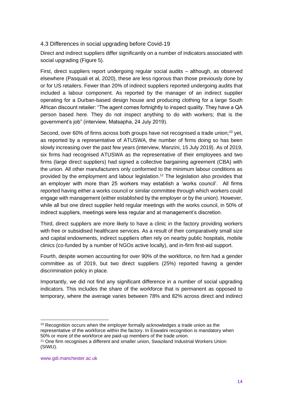## 4.3 Differences in social upgrading before Covid-19

Direct and indirect suppliers differ significantly on a number of indicators associated with social upgrading (Figure 5).

First, direct suppliers report undergoing regular social audits – although, as observed elsewhere (Pasquali et al, 2020), these are less rigorous than those previously done by or for US retailers. Fewer than 20% of indirect suppliers reported undergoing audits that included a labour component. As reported by the manager of an indirect supplier operating for a Durban-based design house and producing clothing for a large South African discount retailer: "The agent comes fortnightly to inspect quality. They have a QA person based here. They do not inspect anything to do with workers; that is the government's job" (interview, Matsapha, 24 July 2019).

Second, over 60% of firms across both groups have not recognised a trade union;<sup>10</sup> yet, as reported by a representative of ATUSWA, the number of firms doing so has been slowly increasing over the past few years (interview, Manzini, 15 July 2019). As of 2019, six firms had recognised ATUSWA as the representative of their employees and two firms (large direct suppliers) had signed a collective bargaining agreement (CBA) with the union. All other manufacturers only conformed to the minimum labour conditions as provided by the employment and labour legislation.<sup>11</sup> The legislation also provides that an employer with more than 25 workers may establish a 'works council'. All firms reported having either a works council or similar committee through which workers could engage with management (either established by the employer or by the union). However, while all but one direct supplier held regular meetings with the works council, in 50% of indirect suppliers, meetings were less regular and at management's discretion.

Third, direct suppliers are more likely to have a clinic in the factory providing workers with free or subsidised healthcare services. As a result of their comparatively small size and capital endowments, indirect suppliers often rely on nearby public hospitals, mobile clinics (co-funded by a number of NGOs active locally), and in-firm first-aid support.

Fourth, despite women accounting for over 90% of the workforce, no firm had a gender committee as of 2019, but two direct suppliers (25%) reported having a gender discrimination policy in place.

Importantly, we did not find any significant difference in a number of social upgrading indicators. This includes the share of the workforce that is permanent as opposed to temporary, where the average varies between 78% and 82% across direct and indirect

<sup>&</sup>lt;sup>10</sup> Recognition occurs when the employer formally acknowledges a trade union as the representative of the workforce within the factory. In Eswatini recognition is mandatory when 50% or more of the workforce are paid-up members of the trade union.

<sup>11</sup> One firm recognises a different and smaller union, Swaziland Industrial Workers Union (SIWU).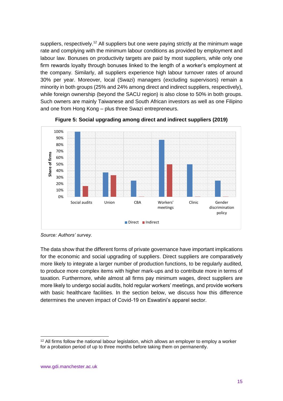suppliers, respectively.<sup>12</sup> All suppliers but one were paying strictly at the minimum wage rate and complying with the minimum labour conditions as provided by employment and labour law. Bonuses on productivity targets are paid by most suppliers, while only one firm rewards loyalty through bonuses linked to the length of a worker's employment at the company. Similarly, all suppliers experience high labour turnover rates of around 30% per year. Moreover, local (Swazi) managers (excluding supervisors) remain a minority in both groups (25% and 24% among direct and indirect suppliers, respectively), while foreign ownership (beyond the SACU region) is also close to 50% in both groups. Such owners are mainly Taiwanese and South African investors as well as one Filipino and one from Hong Kong – plus three Swazi entrepreneurs.

![](_page_14_Figure_1.jpeg)

![](_page_14_Figure_2.jpeg)

*Source: Authors' survey.*

The data show that the different forms of private governance have important implications for the economic and social upgrading of suppliers. Direct suppliers are comparatively more likely to integrate a larger number of production functions, to be regularly audited, to produce more complex items with higher mark-ups and to contribute more in terms of taxation. Furthermore, while almost all firms pay minimum wages, direct suppliers are more likely to undergo social audits, hold regular workers' meetings, and provide workers with basic healthcare facilities. In the section below, we discuss how this difference determines the uneven impact of Covid-19 on Eswatini's apparel sector.

<sup>&</sup>lt;sup>12</sup> All firms follow the national labour legislation, which allows an employer to employ a worker for a probation period of up to three months before taking them on permanently.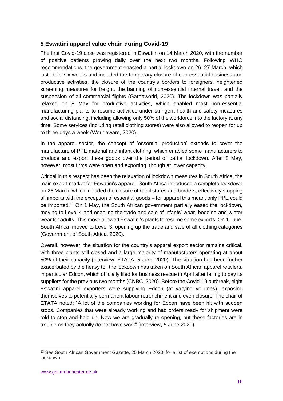## **5 Eswatini apparel value chain during Covid-19**

The first Covid-19 case was registered in Eswatini on 14 March 2020, with the number of positive patients growing daily over the next two months. Following WHO recommendations, the government enacted a partial lockdown on 26–27 March, which lasted for six weeks and included the temporary closure of non-essential business and productive activities, the closure of the country's borders to foreigners, heightened screening measures for freight, the banning of non-essential internal travel, and the suspension of all commercial flights (Gardaworld, 2020). The lockdown was partially relaxed on 8 May for productive activities, which enabled most non-essential manufacturing plants to resume activities under stringent health and safety measures and social distancing, including allowing only 50% of the workforce into the factory at any time. Some services (including retail clothing stores) were also allowed to reopen for up to three days a week (Worldaware, 2020).

In the apparel sector, the concept of 'essential production' extends to cover the manufacture of PPE material and infant clothing, which enabled some manufacturers to produce and export these goods over the period of partial lockdown. After 8 May, however, most firms were open and exporting, though at lower capacity.

Critical in this respect has been the relaxation of lockdown measures in South Africa, the main export market for Eswatini's apparel. South Africa introduced a complete lockdown on 26 March, which included the closure of retail stores and borders, effectively stopping all imports with the exception of essential goods – for apparel this meant only PPE could be imported.<sup>13</sup> On 1 May, the South African government partially eased the lockdown, moving to Level 4 and enabling the trade and sale of infants' wear, bedding and winter wear for adults. This move allowed Eswatini's plants to resume some exports. On 1 June, South Africa moved to Level 3, opening up the trade and sale of all clothing categories (Government of South Africa, 2020).

Overall, however, the situation for the country's apparel export sector remains critical, with three plants still closed and a large majority of manufacturers operating at about 50% of their capacity (interview, ETATA, 5 June 2020). The situation has been further exacerbated by the heavy toll the lockdown has taken on South African apparel retailers, in particular Edcon, which officially filed for business rescue in April after failing to pay its suppliers for the previous two months (CNBC, 2020). Before the Covid-19 outbreak, eight Eswatini apparel exporters were supplying Edcon (at varying volumes), exposing themselves to potentially permanent labour retrenchment and even closure. The chair of ETATA noted: "A lot of the companies working for Edcon have been hit with sudden stops. Companies that were already working and had orders ready for shipment were told to stop and hold up. Now we are gradually re-opening, but these factories are in trouble as they actually do not have work" (interview, 5 June 2020).

<sup>&</sup>lt;sup>13</sup> See South African Government Gazette, 25 March 2020, for a list of exemptions during the lockdown.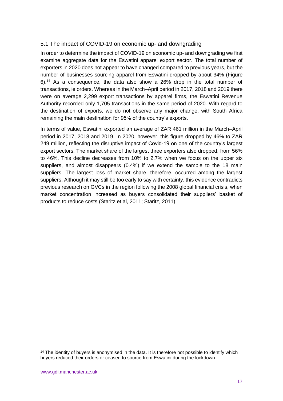# 5.1 The impact of COVID-19 on economic up- and downgrading

In order to determine the impact of COVID-19 on economic up- and downgrading we first examine aggregate data for the Eswatini apparel export sector. The total number of exporters in 2020 does not appear to have changed compared to previous years, but the number of businesses sourcing apparel from Eswatini dropped by about 34% (Figure 6).<sup>14</sup> As a consequence, the data also show a 26% drop in the total number of transactions, ie orders. Whereas in the March–April period in 2017, 2018 and 2019 there were on average 2,299 export transactions by apparel firms, the Eswatini Revenue Authority recorded only 1,705 transactions in the same period of 2020. With regard to the destination of exports, we do not observe any major change, with South Africa remaining the main destination for 95% of the country's exports.

In terms of value, Eswatini exported an average of ZAR 461 million in the March–April period in 2017, 2018 and 2019. In 2020, however, this figure dropped by 46% to ZAR 249 million, reflecting the disruptive impact of Covid-19 on one of the country's largest export sectors. The market share of the largest three exporters also dropped, from 56% to 46%. This decline decreases from 10% to 2.7% when we focus on the upper six suppliers, and almost disappears (0.4%) if we extend the sample to the 18 main suppliers. The largest loss of market share, therefore, occurred among the largest suppliers. Although it may still be too early to say with certainty, this evidence contradicts previous research on GVCs in the region following the 2008 global financial crisis, when market concentration increased as buyers consolidated their suppliers' basket of products to reduce costs (Staritz et al, 2011; Staritz, 2011).

<sup>&</sup>lt;sup>14</sup> The identity of buyers is anonymised in the data. It is therefore not possible to identify which buyers reduced their orders or ceased to source from Eswatini during the lockdown.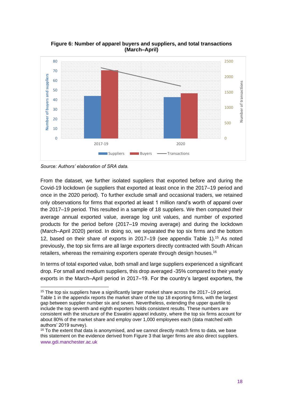![](_page_17_Figure_0.jpeg)

**Figure 6: Number of apparel buyers and suppliers, and total transactions (March–April)**

From the dataset, we further isolated suppliers that exported before and during the Covid-19 lockdown (ie suppliers that exported at least once in the 2017–19 period and once in the 2020 period). To further exclude small and occasional traders, we retained only observations for firms that exported at least 1 million rand's worth of apparel over the 2017–19 period. This resulted in a sample of 18 suppliers. We then computed their average annual exported value, average log unit values, and number of exported products for the period before (2017–19 moving average) and during the lockdown (March–April 2020) period. In doing so, we separated the top six firms and the bottom 12, based on their share of exports in 2017–19 (see appendix Table 1).<sup>15</sup> As noted previously, the top six firms are all large exporters directly contracted with South African retailers, whereas the remaining exporters operate through design houses.<sup>16</sup>

In terms of total exported value, both small and large suppliers experienced a significant drop. For small and medium suppliers, this drop averaged -35% compared to their yearly exports in the March–April period in 2017–19. For the country's largest exporters, the

*Source: Authors' elaboration of SRA data.*

<sup>15</sup> The top six suppliers have a significantly larger market share across the 2017–19 period. Table 1 in the appendix reports the market share of the top 18 exporting firms, with the largest gap between supplier number six and seven. Nevertheless, extending the upper quartile to include the top seventh and eighth exporters holds consistent results. These numbers are consistent with the structure of the Eswatini apparel industry, where the top six firms account for about 80% of the market share and employ over 1,000 employees each (data matched with authors' 2019 survey).

www.gdi.manchester.ac.uk  $16$  To the extent that data is anonymised, and we cannot directly match firms to data, we base this statement on the evidence derived from Figure 3 that larger firms are also direct suppliers.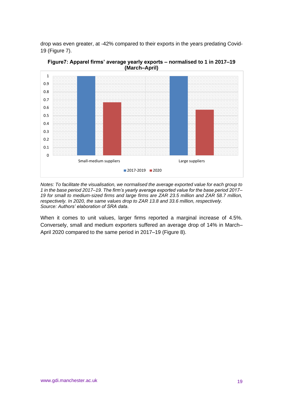drop was even greater, at -42% compared to their exports in the years predating Covid-19 (Figure 7).

![](_page_18_Figure_1.jpeg)

**Figure7: Apparel firms' average yearly exports – normalised to 1 in 2017–19 (March–April)**

*Notes: To facilitate the visualisation, we normalised the average exported value for each group to 1 in the base period 2017–19. The firm's yearly average exported value for the base period 2017– 19 for small to medium-sized firms and large firms are ZAR 23.5 million and ZAR 58.7 million, respectively. In 2020, the same values drop to ZAR 13.8 and 33.6 million, respectively. Source: Authors' elaboration of SRA data*.

When it comes to unit values, larger firms reported a marginal increase of 4.5%. Conversely, small and medium exporters suffered an average drop of 14% in March– April 2020 compared to the same period in 2017–19 (Figure 8).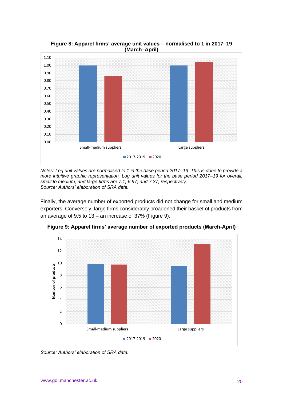![](_page_19_Figure_0.jpeg)

**Figure 8: Apparel firms' average unit values – normalised to 1 in 2017–19 (March–April)**

*Notes: Log unit values are normalised to 1 in the base period 2017–19. This is done to provide a more intuitive graphic representation. Log unit values for the base period 2017–19 for overall, small to medium, and large firms are 7.1, 6.97, and 7.37, respectively. Source: Authors' elaboration of SRA data.*

Finally, the average number of exported products did not change for small and medium exporters. Conversely, large firms considerably broadened their basket of products from an average of 9.5 to 13 – an increase of 37% (Figure 9).

![](_page_19_Figure_4.jpeg)

**Figure 9: Apparel firms' average number of exported products (March-April)**

*Source: Authors' elaboration of SRA data.*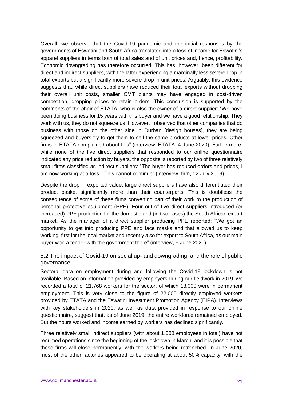Overall, we observe that the Covid-19 pandemic and the initial responses by the governments of Eswatini and South Africa translated into a loss of income for Eswatini's apparel suppliers in terms both of total sales and of unit prices and, hence, profitability. Economic downgrading has therefore occurred. This has, however, been different for direct and indirect suppliers, with the latter experiencing a marginally less severe drop in total exports but a significantly more severe drop in unit prices. Arguably, this evidence suggests that, while direct suppliers have reduced their total exports without dropping their overall unit costs, smaller CMT plants may have engaged in cost-driven competition, dropping prices to retain orders. This conclusion is supported by the comments of the chair of ETATA, who is also the owner of a direct supplier: "We have been doing business for 15 years with this buyer and we have a good relationship. They work with us, they do not squeeze us. However, I observed that other companies that do business with those on the other side in Durban [design houses], they are being squeezed and buyers try to get them to sell the same products at lower prices. Other firms in ETATA complained about this" (interview, ETATA, 4 June 2020). Furthermore, while none of the five direct suppliers that responded to our online questionnaire indicated any price reduction by buyers, the opposite is reported by two of three relatively small firms classified as indirect suppliers: "The buyer has reduced orders and prices, I am now working at a loss…This cannot continue" (interview, firm, 12 July 2019).

Despite the drop in exported value, large direct suppliers have also differentiated their product basket significantly more than their counterparts. This is doubtless the consequence of some of these firms converting part of their work to the production of personal protective equipment (PPE). Four out of five direct suppliers introduced (or increased) PPE production for the domestic and (in two cases) the South African export market. As the manager of a direct supplier producing PPE reported: "We got an opportunity to get into producing PPE and face masks and that allowed us to keep working, first for the local market and recently also for export to South Africa, as our main buyer won a tender with the government there" (interview, 6 June 2020).

# 5.2 The impact of Covid-19 on social up- and downgrading, and the role of public governance

Sectoral data on employment during and following the Covid-19 lockdown is not available. Based on information provided by employers during our fieldwork in 2019, we recorded a total of 21,768 workers for the sector, of which 18,000 were in permanent employment. This is very close to the figure of 22,000 directly employed workers provided by ETATA and the Eswatini Investment Promotion Agency (EIPA). Interviews with key stakeholders in 2020, as well as data provided in response to our online questionnaire, suggest that, as of June 2019, the entire workforce remained employed. But the hours worked and income earned by workers has declined significantly.

Three relatively small indirect suppliers (with about 1,000 employees in total) have not resumed operations since the beginning of the lockdown in March, and it is possible that these firms will close permanently, with the workers being retrenched. In June 2020, most of the other factories appeared to be operating at about 50% capacity, with the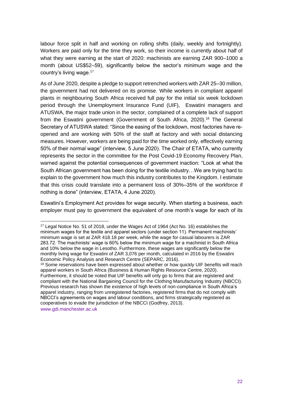labour force split in half and working on rolling shifts (daily, weekly and fortnightly). Workers are paid only for the time they work, so their income is currently about half of what they were earning at the start of 2020: machinists are earning ZAR 900–1000 a month (about US\$52–59), significantly below the sector's minimum wage and the country's living wage.<sup>17</sup>

As of June 2020, despite a pledge to support retrenched workers with ZAR 25–30 million, the government had not delivered on its promise. While workers in compliant apparel plants in neighbouring South Africa received full pay for the initial six week lockdown period through the Unemployment Insurance Fund (UIF), Eswatini managers and ATUSWA, the major trade union in the sector, complained of a complete lack of support from the Eswatini government (Government of South Africa, 2020). <sup>18</sup> The General Secretary of ATUSWA stated: "Since the easing of the lockdown, most factories have reopened and are working with 50% of the staff at factory and with social distancing measures. However, workers are being paid for the time worked only, effectively earning 50% of their normal wage" (interview, 5 June 2020). The Chair of ETATA, who currently represents the sector in the committee for the Post Covid-19 Economy Recovery Plan, warned against the potential consequences of government inaction: "Look at what the South African government has been doing for the textile industry…We are trying hard to explain to the government how much this industry contributes to the Kingdom. I estimate that this crisis could translate into a permanent loss of 30%–35% of the workforce if nothing is done" (interview, ETATA, 4 June 2020).

Eswatini's Employment Act provides for wage security. When starting a business, each employer must pay to government the equivalent of one month's wage for each of its

www.gdi.manchester.ac.uk

<sup>17</sup> Legal Notice No. 51 of 2018, under the Wages Act of 1964 (Act No. 16) establishes the minimum wages for the textile and apparel sectors (under section 11). Permanent machinists' minimum wage is set at ZAR 418.18 per week, while the wage for casual labourers is ZAR 283.72. The machinists' wage is 60% below the minimum wage for a machinist in South Africa and 10% below the wage in Lesotho. Furthermore, these wages are significantly below the monthly living wage for Eswatini of ZAR 3,076 per month, calculated in 2016 by the Eswatini Economic Policy Analysis and Research Centre (SEPARC, 2016).

<sup>&</sup>lt;sup>18</sup> Some reservations have been expressed about whether or how quickly UIF benefits will reach apparel workers in South Africa (Business & Human Rights Resource Centre, 2020). Furthermore, it should be noted that UIF benefits will only go to firms that are registered and compliant with the National Bargaining Council for the Clothing Manufacturing Industry (NBCCI). Previous research has shown the existence of high levels of non-compliance in South Africa's apparel industry, ranging from unregistered factories, registered firms that do not comply with NBCCI's agreements on wages and labour conditions, and firms strategically registered as cooperatives to evade the jurisdiction of the NBCCI (Godfrey, 2013).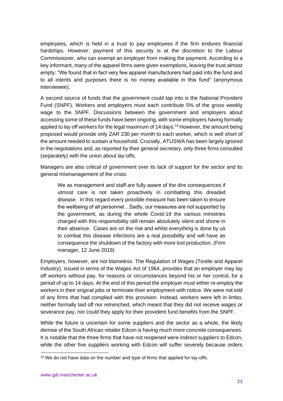employees, which is held in a trust to pay employees if the firm endures financial hardships. However, payment of this security is at the discretion to the Labour Commissioner, who can exempt an employer from making the payment. According to a key informant, many of the apparel firms were given exemptions, leaving the trust almost empty: "We found that in fact very few apparel manufacturers had paid into the fund and to all intents and purposes there is no money available in this fund" (anonymous interviewee).

A second source of funds that the government could tap into is the National Provident Fund (SNPF). Workers and employers must each contribute 5% of the gross weekly wage to the SNPF. Discussions between the government and employers about accessing some of these funds have been ongoing, with some employers having formally applied to lay off workers for the legal maximum of 14 days.<sup>19</sup> However, the amount being proposed would provide only ZAR 230 per month to each worker, which is well short of the amount needed to sustain a household. Crucially, ATUSWA has been largely ignored in the negotiations and, as reported by their general secretary, only three firms consulted (separately) with the union about lay-offs.

Managers are also critical of government over its lack of support for the sector and its general mismanagement of the crisis:

We as management and staff are fully aware of the dire consequences if utmost care is not taken proactively in combatting this dreaded disease. In this regard every possible measure has been taken to ensure the wellbeing of all personnel…Sadly, our measures are not supported by the government, as during the whole Covid-19 the various ministries charged with this responsibility still remain absolutely silent and shone in their absence. Cases are on the rise and whilst everything is done by us to combat this disease infections are a real possibility and will have as consequence the shutdown of the factory with more lost production. (Firm manager, 12 June 2019)

Employers, however, are not blameless. The Regulation of Wages (Textile and Apparel Industry), issued in terms of the Wages Act of 1964, provides that an employer may lay off workers without pay, for reasons or circumstances beyond his or her control, for a period of up to 14 days. At the end of this period the employer must either re-employ the workers in their original jobs or terminate their employment with notice. We were not told of any firms that had complied with this provision. Instead, workers were left in limbo, neither formally laid off nor retrenched, which meant that they did not receive wages or severance pay, nor could they apply for their provident fund benefits from the SNPF.

While the future is uncertain for some suppliers and the sector as a whole, the likely demise of the South African retailer Edcon is having much more concrete consequences. It is notable that the three firms that have not reopened were indirect suppliers to Edcon, while the other five suppliers working with Edcon will suffer severely because orders

<sup>&</sup>lt;sup>19</sup> We do not have data on the number and type of firms that applied for lay-offs.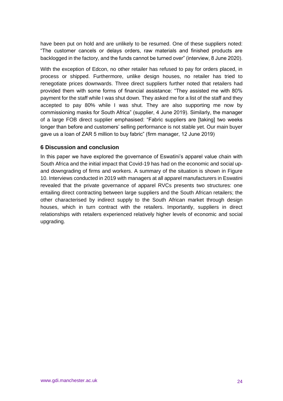have been put on hold and are unlikely to be resumed. One of these suppliers noted: "The customer cancels or delays orders, raw materials and finished products are backlogged in the factory, and the funds cannot be turned over" (interview, 8 June 2020).

With the exception of Edcon, no other retailer has refused to pay for orders placed, in process or shipped. Furthermore, unlike design houses, no retailer has tried to renegotiate prices downwards. Three direct suppliers further noted that retailers had provided them with some forms of financial assistance: "They assisted me with 80% payment for the staff while I was shut down. They asked me for a list of the staff and they accepted to pay 80% while I was shut. They are also supporting me now by commissioning masks for South Africa" (supplier, 4 June 2019). Similarly, the manager of a large FOB direct supplier emphasised: "Fabric suppliers are [taking] two weeks longer than before and customers' selling performance is not stable yet. Our main buyer gave us a loan of ZAR 5 million to buy fabric" (firm manager, 12 June 2019)

### **6 Discussion and conclusion**

In this paper we have explored the governance of Eswatini's apparel value chain with South Africa and the initial impact that Covid-19 has had on the economic and social upand downgrading of firms and workers. A summary of the situation is shown in Figure 10. Interviews conducted in 2019 with managers at all apparel manufacturers in Eswatini revealed that the private governance of apparel RVCs presents two structures: one entailing direct contracting between large suppliers and the South African retailers; the other characterised by indirect supply to the South African market through design houses, which in turn contract with the retailers. Importantly, suppliers in direct relationships with retailers experienced relatively higher levels of economic and social upgrading.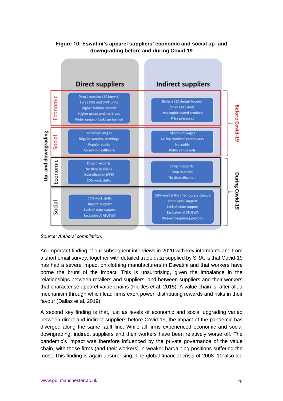![](_page_24_Figure_0.jpeg)

# **Figure 10: Eswatini's apparel suppliers' economic and social up- and downgrading before and during Covid-19**

*Source: Authors' compilation.*

An important finding of our subsequent interviews in 2020 with key informants and from a short email survey, together with detailed trade data supplied by SRA, is that Covid-19 has had a severe impact on clothing manufacturers in Eswatini and that workers have borne the brunt of the impact. This is unsurprising, given the imbalance in the relationships between retailers and suppliers, and between suppliers and their workers that characterise apparel value chains (Pickles et al, 2015). A value chain is, after all, a mechanism through which lead firms exert power, distributing rewards and risks in their favour (Dallas et al, 2019).

A second key finding is that, just as levels of economic and social upgrading varied between direct and indirect suppliers before Covid-19, the impact of the pandemic has diverged along the same fault line. While all firms experienced economic and social downgrading, indirect suppliers and their workers have been relatively worse off. The pandemic's impact was therefore influenced by the private governance of the value chain, with those firms (and their workers) in weaker bargaining positions suffering the most. This finding is again unsurprising. The global financial crisis of 2008–10 also led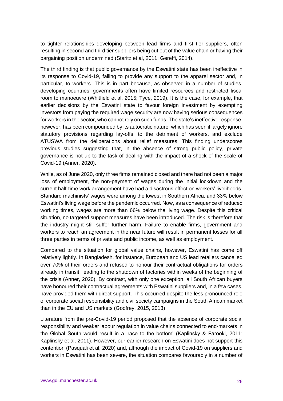to tighter relationships developing between lead firms and first tier suppliers, often resulting in second and third tier suppliers being cut out of the value chain or having their bargaining position undermined (Staritz et al, 2011; Gereffi, 2014).

The third finding is that public governance by the Eswatini state has been ineffective in its response to Covid-19, failing to provide any support to the apparel sector and, in particular, to workers. This is in part because, as observed in a number of studies, developing countries' governments often have limited resources and restricted fiscal room to manoeuvre (Whitfield et al, 2015; Tyce, 2019). It is the case, for example, that earlier decisions by the Eswatini state to favour foreign investment by exempting investors from paying the required wage security are now having serious consequences for workers in the sector, who cannot rely on such funds. The state's ineffective response, however, has been compounded by its autocratic nature, which has seen it largely ignore statutory provisions regarding lay-offs, to the detriment of workers, and exclude ATUSWA from the deliberations about relief measures. This finding underscores previous studies suggesting that, in the absence of strong public policy, private governance is not up to the task of dealing with the impact of a shock of the scale of Covid-19 (Anner, 2020).

While, as of June 2020, only three firms remained closed and there had not been a major loss of employment, the non-payment of wages during the initial lockdown and the current half-time work arrangement have had a disastrous effect on workers' livelihoods. Standard machinists' wages were among the lowest in Southern Africa, and 33% below Eswatini's living wage before the pandemic occurred. Now, as a consequence of reduced working times, wages are more than 66% below the living wage. Despite this critical situation, no targeted support measures have been introduced. The risk is therefore that the industry might still suffer further harm. Failure to enable firms, government and workers to reach an agreement in the near future will result in permanent losses for all three parties in terms of private and public income, as well as employment.

Compared to the situation for global value chains, however, Eswatini has come off relatively lightly. In Bangladesh, for instance, European and US lead retailers cancelled over 70% of their orders and refused to honour their contractual obligations for orders already in transit, leading to the shutdown of factories within weeks of the beginning of the crisis (Anner, 2020). By contrast, with only one exception, all South African buyers have honoured their contractual agreements with Eswatini suppliers and, in a few cases, have provided them with direct support. This occurred despite the less pronounced role of corporate social responsibility and civil society campaigns in the South African market than in the EU and US markets (Godfrey, 2015, 2013).

Literature from the pre-Covid-19 period proposed that the absence of corporate social responsibility and weaker labour regulation in value chains connected to end-markets in the Global South would result in a 'race to the bottom' (Kaplinsky & Farooki, 2011; Kaplinsky et al, 2011). However, our earlier research on Eswatini does not support this contention (Pasquali et al, 2020) and, although the impact of Covid-19 on suppliers and workers in Eswatini has been severe, the situation compares favourably in a number of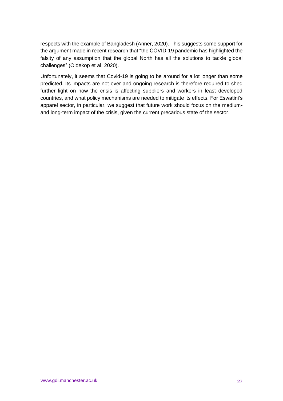respects with the example of Bangladesh (Anner, 2020). This suggests some support for the argument made in recent research that "the COVID-19 pandemic has highlighted the falsity of any assumption that the global North has all the solutions to tackle global challenges" (Oldekop et al, 2020).

Unfortunately, it seems that Covid-19 is going to be around for a lot longer than some predicted. Its impacts are not over and ongoing research is therefore required to shed further light on how the crisis is affecting suppliers and workers in least developed countries, and what policy mechanisms are needed to mitigate its effects. For Eswatini's apparel sector, in particular, we suggest that future work should focus on the mediumand long-term impact of the crisis, given the current precarious state of the sector.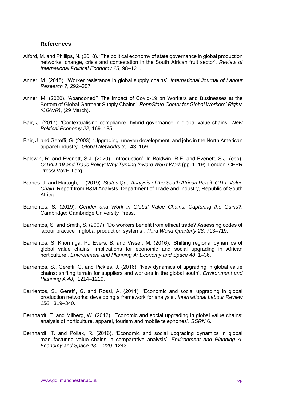#### **References**

- Alford, M. and Phillips, N. (2018). 'The political economy of state governance in global production networks: change, crisis and contestation in the South African fruit sector'. *Review of International Political Economy 25*, 98–121.
- Anner, M. (2015). 'Worker resistance in global supply chains'. *International Journal of Labour Research 7*, 292–307.
- Anner, M. (2020). 'Abandoned? The Impact of Covid-19 on Workers and Businesses at the Bottom of Global Garment Supply Chains'. *PennState Center for Global Workers' Rights (CGWR)*, (29 March).
- Bair, J. (2017). 'Contextualising compliance: hybrid governance in global value chains'. *New Political Economy 22*, 169–185.
- Bair, J. and Gereffi, G. (2003). 'Upgrading, uneven development, and jobs in the North American apparel industry'. *Global Networks 3*, 143–169.
- Baldwin, R. and Evenett, S.J. (2020). 'Introduction'. In Baldwin, R.E. and Evenett, S.J. (eds), *COVID-19 and Trade Policy: Why Turning Inward Won't Work* (pp. 1–19). London: CEPR Press/ VoxEU.org.
- Barnes, J. and Hartogh, T. (2019). *Status Quo Analysis of the South African Retail–CTFL Value Chain*. Report from B&M Analysts. Department of Trade and Industry, Republic of South Africa.
- Barrientos, S. (2019). *Gender and Work in Global Value Chains: Capturing the Gains?*. Cambridge: Cambridge University Press.
- Barrientos, S. and Smith, S. (2007). 'Do workers benefit from ethical trade? Assessing codes of labour practice in global production systems'. *Third World Quarterly 28*, 713–719.
- Barrientos, S, Knorringa, P., Evers, B. and Visser, M. (2016). 'Shifting regional dynamics of global value chains: implications for economic and social upgrading in African horticulture'. *Environment and Planning A: Economy and Space 48*, 1–36.
- Barrientos, S., Gereffi, G. and Pickles, J. (2016). 'New dynamics of upgrading in global value chains: shifting terrain for suppliers and workers in the global south'. *Environment and Planning A 48*, 1214–1219.
- Barrientos, S., Gereffi, G. and Rossi, A. (2011). 'Economic and social upgrading in global production networks: developing a framework for analysis'. *International Labour Review 150*, 319–340.
- Bernhardt, T. and Milberg, W. (2012). 'Economic and social upgrading in global value chains: analysis of horticulture, apparel, tourism and mobile telephones'. *SSRN* 6.
- Bernhardt, T. and Pollak, R. (2016). 'Economic and social upgrading dynamics in global manufacturing value chains: a comparative analysis'. *Environment and Planning A: Economy and Space 48*, 1220–1243.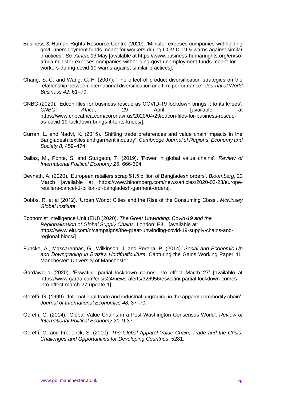- Business & Human Rights Resource Centre (2020). 'Minister exposes companies withholding govt. unemployment funds meant for workers during COVID-19 & warns against similar practices'. *So. Africa*, 13 May [available at https://www.business-humanrights.org/en/soafrica-minister-exposes-companies-withholding-govt-unemployment-funds-meant-forworkers-during-covid-19-warns-against-similar-practices].
- Chang, S.-C. and Wang, C.-F. (2007). 'The effect of product diversification strategies on the relationship between international diversification and firm performance'. *Journal of World Business 42*, 61–79.
- CNBC (2020). 'Edcon files for business rescue as COVID-19 lockdown brings it to its knees'. **CNBC Africa.** 29 **April and April and April April 1** https://www.cnbcafrica.com/coronavirus/2020/04/29/edcon-files-for-business-rescueas-covid-19-lockdown-brings-it-to-its-knees/].
- Curran, L. and Nadvi, K. (2015). 'Shifting trade preferences and value chain impacts in the Bangladesh textiles and garment industry'. *Cambridge Journal of Regions, Economy and Society 8*, 459–474.
- Dallas, M., Ponte, S. and Sturgeon, T. (2019). 'Power in global value chains'. *Review of International Political Economy 26*, 666-694.
- Devnath, A. (2020). 'European retailers scrap \$1.5 billion of Bangladesh orders'. *Bloomberg*, 23 March [available at https://www.bloomberg.com/news/articles/2020-03-23/europeretailers-cancel-1-billion-of-bangladesh-garment-orders].
- Dobbs, R. et al (2012). 'Urban World: Cities and the Rise of the Consuming Class', *McKinsey Global Institute*.
- Economist Intelligence Unit (EIU) (2020). *The Great Unwinding: Covid-19 and the Regionalisation of Global Supply Chains*. London: EIU [available at: https://www.eiu.com/n/campaigns/the-great-unwinding-covid-19-supply-chains-andregional-blocs/].
- Funcke, A., Mascarenhas, G., Wilkinson, J. and Pereira, P. (2014). *Social and Economic Up and Downgrading in Brazil's Hortifruiticulture*. Capturing the Gains Working Paper 41. Manchester: University of Manchester.
- Gardaworld (2020). 'Eswatini: partial lockdown comes into effect March 27' [available at https://www.garda.com/crisis24/news-alerts/326956/eswatini-partial-lockdown-comesinto-effect-march-27-update-1].
- Gereffi, G. (1999). 'International trade and industrial upgrading in the apparel commodity chain'. *Journal of International Economics 48*, 37–70.
- Gereffi, G. (2014). 'Global Value Chains in a Post-Washington Consensus World'. *Review of International Political Economy 21*, 9-37.
- Gereffi, G. and Frederick, S. (2010). *The Global Apparel Value Chain, Trade and the Crisis: Challenges and Opportunities for Developing Countries*. 5281.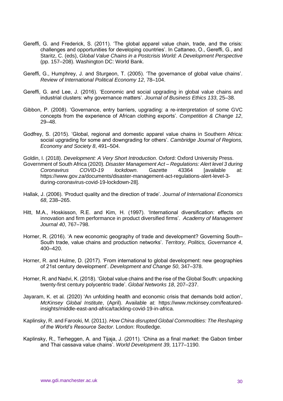- Gereffi, G. and Frederick, S. (2011). 'The global apparel value chain, trade, and the crisis: challenges and opportunities for developing countries'. In Cattaneo, O., Gereffi, G., and Staritz, C. (eds), *Global Value Chains in a Postcrisis World: A Development Perspective* (pp. 157–208). Washington DC: World Bank.
- Gereffi, G., Humphrey, J. and Sturgeon, T. (2005). 'The governance of global value chains'. *Review of International Political Economy 12*, 78–104.
- Gereffi, G. and Lee, J. (2016). 'Economic and social upgrading in global value chains and industrial clusters: why governance matters'. *Journal of Business Ethics 133*, 25–38.
- Gibbon, P. (2008). 'Governance, entry barriers, upgrading: a re-interpretation of some GVC concepts from the experience of African clothing exports'. *Competition & Change 12*, 29–48.
- Godfrey, S. (2015). 'Global, regional and domestic apparel value chains in Southern Africa: social upgrading for some and downgrading for others'. *Cambridge Journal of Regions, Economy and Society 8*, 491–504.
- Goldin, I. (2018). *Development: A Very Short Introduction*. Oxford: Oxford University Press. Government of South Africa (2020). *Disaster Management Act – Regulations: Alert level 3 during Coronavirus COVID-19 lockdown*. Gazette 43364 [available at: https://www.gov.za/documents/disaster-management-act-regulations-alert-level-3 during-coronavirus-covid-19-lockdown-28].
- Hallak, J. (2006). 'Product quality and the direction of trade'. *Journal of International Economics 68*, 238–265.
- Hitt, M.A., Hoskisson, R.E. and Kim, H. (1997). 'International diversification: effects on innovation and firm performance in product diversified firms'. *Academy of Management Journal 40*, 767–798.
- Horner, R. (2016). 'A new economic geography of trade and development? Governing South– South trade, value chains and production networks'. *Territory, Politics, Governance 4*, 400–420.
- Horner, R. and Hulme, D. (2017). 'From international to global development: new geographies of 21st century development'. *Development and Change 50*, 347–378.
- Horner, R. and Nadvi, K. (2018). 'Global value chains and the rise of the Global South: unpacking twenty-first century polycentric trade'. *Global Networks 18*, 207–237.
- Jayaram, K. et al*.* (2020) 'An unfolding health and economic crisis that demands bold action', *McKinsey Global Institute*, (April). Available at: https://www.mckinsey.com/featuredinsights/middle-east-and-africa/tackling-covid-19-in-africa.
- Kaplinsky, R. and Farooki, M. (2011). *How China disrupted Global Commodities: The Reshaping of the World's Resource Sector*. London: Routledge.
- Kaplinsky, R., Terheggen, A. and Tijaja, J. (2011). 'China as a final market: the Gabon timber and Thai cassava value chains'. *World Development 39*, 1177–1190.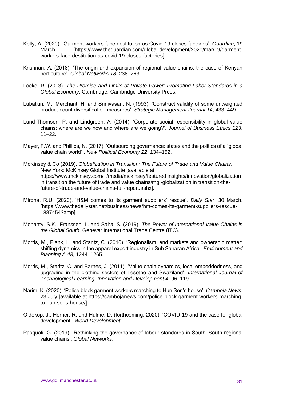- Kelly, A. (2020). 'Garment workers face destitution as Covid-19 closes factories'. *Guardian*, 19 March [https://www.theguardian.com/global-development/2020/mar/19/garmentworkers-face-destitution-as-covid-19-closes-factories].
- Krishnan, A. (2018). 'The origin and expansion of regional value chains: the case of Kenyan horticulture'. *Global Networks 18*, 238–263.
- Locke, R. (2013). *The Promise and Limits of Private Power: Promoting Labor Standards in a Global Economy*. Cambridge: Cambridge University Press.
- Lubatkin, M., Merchant, H. and Srinivasan, N. (1993). 'Construct validity of some unweighted product-count diversification measures'. *Strategic Management Journal 14*, 433–449.
- Lund-Thomsen, P. and Lindgreen, A. (2014). 'Corporate social responsibility in global value chains: where are we now and where are we going?'. *Journal of Business Ethics 123*,  $11 - 22$
- Mayer, F.W. and Phillips, N. (2017). 'Outsourcing governance: states and the politics of a "global value chain world"'. *New Political Economy 22*, 134–152.
- McKinsey & Co (2019). *Globalization in Transition: The Future of Trade and Value Chains*. New York: McKinsey Global Institute [available at https://www.mckinsey.com/~/media/mckinsey/featured insights/innovation/globalization in transition the future of trade and value chains/mgi-globalization in transition-thefuture-of-trade-and-value-chains-full-report.ashx].
- Mirdha, R.U. (2020). 'H&M comes to its garment suppliers' rescue'. *Daily Star*, 30 March. [https://www.thedailystar.net/business/news/hm-comes-its-garment-suppliers-rescue-1887454?amp].
- Mohanty, S.K., Franssen, L. and Saha, S. (2019). *The Power of International Value Chains in the Global South*. Geneva: International Trade Centre (ITC).
- Morris, M., Plank, L. and Staritz, C. (2016). 'Regionalism, end markets and ownership matter: shifting dynamics in the apparel export industry in Sub Saharan Africa'. *Environment and Planning A 48*, 1244–1265.
- Morris, M., Staritz, C. and Barnes, J. (2011). 'Value chain dynamics, local embeddedness, and upgrading in the clothing sectors of Lesotho and Swaziland'. *International Journal of Technological Learning, Innovation and Development 4*, 96–119.
- Narim, K. (2020). 'Police block garment workers marching to Hun Sen's house'. *Camboja News*, 23 July [available at https://cambojanews.com/police-block-garment-workers-marchingto-hun-sens-house/].
- Oldekop, J., Horner, R. and Hulme, D. (forthcoming, 2020). 'COVID-19 and the case for global development'. *World Development*.
- Pasquali, G. (2019). 'Rethinking the governance of labour standards in South–South regional value chains'. *Global Networks*.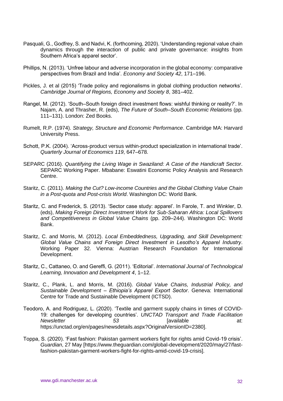- Pasquali, G., Godfrey, S. and Nadvi, K. (forthcoming, 2020). 'Understanding regional value chain dynamics through the interaction of public and private governance: insights from Southern Africa's apparel sector'.
- Phillips, N. (2013). 'Unfree labour and adverse incorporation in the global economy: comparative perspectives from Brazil and India'. *Economy and Society 42*, 171–196.
- Pickles, J. et al (2015) 'Trade policy and regionalisms in global clothing production networks'. *Cambridge Journal of Regions, Economy and Society 8*, 381–402.
- Rangel, M. (2012). 'South–South foreign direct investment flows: wishful thinking or reality?'. In Najam, A. and Thrasher, R. (eds), *The Future of South–South Economic Relations* (pp. 111–131). London: Zed Books.
- Rumelt, R.P. (1974). *Strategy, Structure and Economic Performance*. Cambridge MA: Harvard University Press.
- Schott, P.K. (2004). 'Across-product versus within-product specialization in international trade'. *Quarterly Journal of Economics 119*, 647–678.
- SEPARC (2016). *Quantifying the Living Wage in Swaziland: A Case of the Handicraft Sector*. SEPARC Working Paper. Mbabane: Eswatini Economic Policy Analysis and Research Centre.
- Staritz, C. (2011). *Making the Cut? Low-income Countries and the Global Clothing Value Chain in a Post-quota and Post-crisis World*. Washington DC: World Bank.
- Staritz, C. and Frederick, S. (2013). 'Sector case study: apparel'. In Farole, T. and Winkler, D. (eds), *Making Foreign Direct Investment Work for Sub-Saharan Africa: Local Spillovers and Competitiveness in Global Value Chains* (pp. 209–244). Washington DC: World Bank.
- Staritz, C. and Morris, M. (2012). *Local Embeddedness, Upgrading, and Skill Development: Global Value Chains and Foreign Direct Investment in Lesotho's Apparel Industry*. Working Paper 32. Vienna: Austrian Research Foundation for International Development.
- Staritz, C., Cattaneo, O. and Gereffi, G. (2011). 'Editorial'. *International Journal of Technological Learning, Innovation and Development 4*, 1–12.
- Staritz, C., Plank, L. and Morris, M. (2016). *Global Value Chains, Industrial Policy, and Sustainable Development – Ethiopia's Apparel Export Sector*. Geneva: International Centre for Trade and Sustainable Development (ICTSD).
- Teodoro, A. and Rodriguez, L. (2020). 'Textile and garment supply chains in times of COVID-19: challenges for developing countries'. *UNCTAD Transport and Trade Facilitation Newsletter* **53** *Formula Example 13 At: At: At: B* https://unctad.org/en/pages/newsdetails.aspx?OriginalVersionID=23801.
- Toppa, S. (2020). 'Fast fashion: Pakistan garment workers fight for rights amid Covid-19 crisis'. *Guardian*, 27 May [https://www.theguardian.com/global-development/2020/may/27/fastfashion-pakistan-garment-workers-fight-for-rights-amid-covid-19-crisis].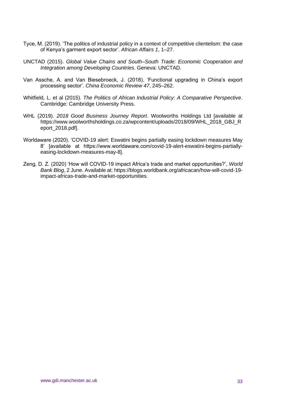- Tyce, M. (2019). 'The politics of industrial policy in a context of competitive clientelism: the case of Kenya's garment export sector'. *African Affairs 1*, 1–27.
- UNCTAD (2015). *Global Value Chains and South–South Trade: Economic Cooperation and Integration among Developing Countries*. Geneva: UNCTAD.
- Van Assche, A. and Van Biesebroeck, J. (2018). 'Functional upgrading in China's export processing sector'. *China Economic Review 47*, 245–262.
- Whitfield, L. et al (2015). *The Politics of African Industrial Policy: A Comparative Perspective*. Cambridge: Cambridge University Press.
- WHL (2019). *2018 Good Business Journey Report*. Woolworths Holdings Ltd [available at https://www.woolworthsholdings.co.za/wpcontent/uploads/2018/09/WHL\_2018\_GBJ\_R eport\_2018.pdf].
- Worldaware (2020). 'COVID-19 alert: Eswatini begins partially easing lockdown measures May 8' [available at https://www.worldaware.com/covid-19-alert-eswatini-begins-partiallyeasing-lockdown-measures-may-8].
- Zeng, D. Z. (2020) 'How will COVID-19 impact Africa's trade and market opportunities?', *World Bank Blog*, 2 June. Available at: https://blogs.worldbank.org/africacan/how-will-covid-19 impact-africas-trade-and-market-opportunities.